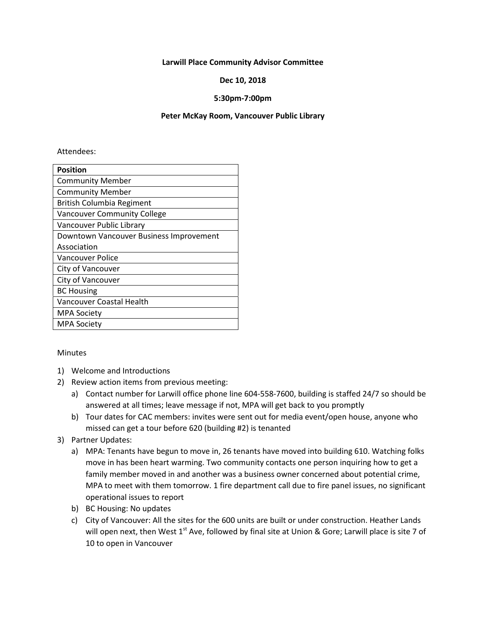#### **Larwill Place Community Advisor Committee**

#### **Dec 10, 2018**

#### **5:30pm-7:00pm**

#### **Peter McKay Room, Vancouver Public Library**

#### Attendees:

| <b>Position</b>                         |  |  |
|-----------------------------------------|--|--|
| <b>Community Member</b>                 |  |  |
| <b>Community Member</b>                 |  |  |
| British Columbia Regiment               |  |  |
| <b>Vancouver Community College</b>      |  |  |
| Vancouver Public Library                |  |  |
| Downtown Vancouver Business Improvement |  |  |
| Association                             |  |  |
| Vancouver Police                        |  |  |
| City of Vancouver                       |  |  |
| City of Vancouver                       |  |  |
| <b>BC Housing</b>                       |  |  |
| <b>Vancouver Coastal Health</b>         |  |  |
| <b>MPA Society</b>                      |  |  |
| MPA Society                             |  |  |

#### Minutes

- 1) Welcome and Introductions
- 2) Review action items from previous meeting:
	- a) Contact number for Larwill office phone line 604-558-7600, building is staffed 24/7 so should be answered at all times; leave message if not, MPA will get back to you promptly
	- b) Tour dates for CAC members: invites were sent out for media event/open house, anyone who missed can get a tour before 620 (building #2) is tenanted
- 3) Partner Updates:
	- a) MPA: Tenants have begun to move in, 26 tenants have moved into building 610. Watching folks move in has been heart warming. Two community contacts one person inquiring how to get a family member moved in and another was a business owner concerned about potential crime, MPA to meet with them tomorrow. 1 fire department call due to fire panel issues, no significant operational issues to report
	- b) BC Housing: No updates
	- c) City of Vancouver: All the sites for the 600 units are built or under construction. Heather Lands will open next, then West  $1<sup>st</sup>$  Ave, followed by final site at Union & Gore; Larwill place is site 7 of 10 to open in Vancouver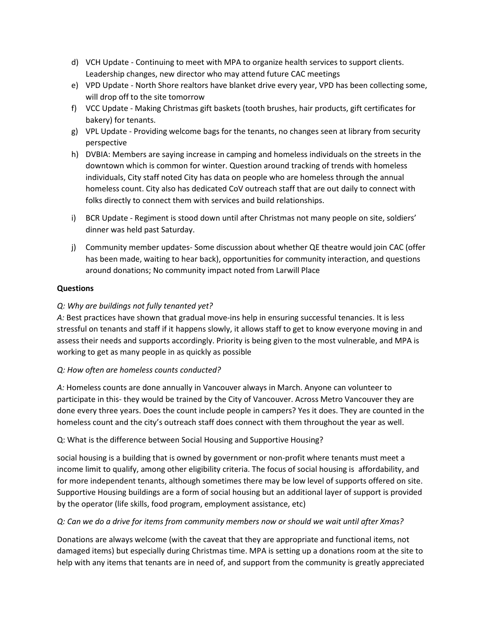- d) VCH Update Continuing to meet with MPA to organize health services to support clients. Leadership changes, new director who may attend future CAC meetings
- e) VPD Update North Shore realtors have blanket drive every year, VPD has been collecting some, will drop off to the site tomorrow
- f) VCC Update Making Christmas gift baskets (tooth brushes, hair products, gift certificates for bakery) for tenants.
- g) VPL Update Providing welcome bags for the tenants, no changes seen at library from security perspective
- h) DVBIA: Members are saying increase in camping and homeless individuals on the streets in the downtown which is common for winter. Question around tracking of trends with homeless individuals, City staff noted City has data on people who are homeless through the annual homeless count. City also has dedicated CoV outreach staff that are out daily to connect with folks directly to connect them with services and build relationships.
- i) BCR Update Regiment is stood down until after Christmas not many people on site, soldiers' dinner was held past Saturday.
- j) Community member updates- Some discussion about whether QE theatre would join CAC (offer has been made, waiting to hear back), opportunities for community interaction, and questions around donations; No community impact noted from Larwill Place

### **Questions**

# *Q: Why are buildings not fully tenanted yet?*

*A:* Best practices have shown that gradual move-ins help in ensuring successful tenancies. It is less stressful on tenants and staff if it happens slowly, it allows staff to get to know everyone moving in and assess their needs and supports accordingly. Priority is being given to the most vulnerable, and MPA is working to get as many people in as quickly as possible

# *Q: How often are homeless counts conducted?*

*A:* Homeless counts are done annually in Vancouver always in March. Anyone can volunteer to participate in this- they would be trained by the City of Vancouver. Across Metro Vancouver they are done every three years. Does the count include people in campers? Yes it does. They are counted in the homeless count and the city's outreach staff does connect with them throughout the year as well.

# Q: What is the difference between Social Housing and Supportive Housing?

social housing is a building that is owned by government or non-profit where tenants must meet a income limit to qualify, among other eligibility criteria. The focus of social housing is affordability, and for more independent tenants, although sometimes there may be low level of supports offered on site. Supportive Housing buildings are a form of social housing but an additional layer of support is provided by the operator (life skills, food program, employment assistance, etc)

# *Q: Can we do a drive for items from community members now or should we wait until after Xmas?*

Donations are always welcome (with the caveat that they are appropriate and functional items, not damaged items) but especially during Christmas time. MPA is setting up a donations room at the site to help with any items that tenants are in need of, and support from the community is greatly appreciated